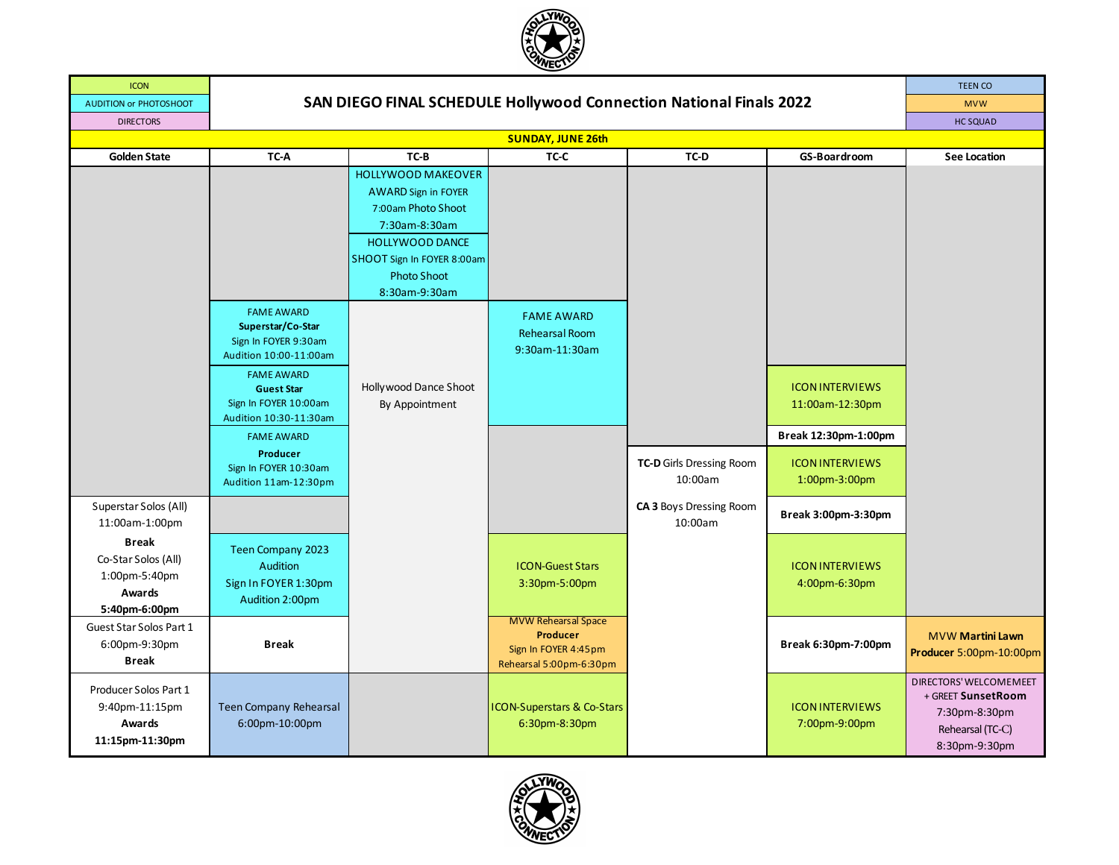

| <b>ICON</b>                                                                     |                                                                                                                |                                                                                                                                                                                               |                                                                                           |                                     |                                                                   | <b>TEEN CO</b>                                                                                     |  |  |
|---------------------------------------------------------------------------------|----------------------------------------------------------------------------------------------------------------|-----------------------------------------------------------------------------------------------------------------------------------------------------------------------------------------------|-------------------------------------------------------------------------------------------|-------------------------------------|-------------------------------------------------------------------|----------------------------------------------------------------------------------------------------|--|--|
| <b>AUDITION or PHOTOSHOOT</b>                                                   | SAN DIEGO FINAL SCHEDULE Hollywood Connection National Finals 2022                                             | <b>MVW</b>                                                                                                                                                                                    |                                                                                           |                                     |                                                                   |                                                                                                    |  |  |
| <b>DIRECTORS</b>                                                                |                                                                                                                |                                                                                                                                                                                               |                                                                                           |                                     |                                                                   | <b>HC SQUAD</b>                                                                                    |  |  |
| <b>SUNDAY, JUNE 26th</b>                                                        |                                                                                                                |                                                                                                                                                                                               |                                                                                           |                                     |                                                                   |                                                                                                    |  |  |
| <b>Golden State</b>                                                             | TC-A                                                                                                           | TC-B                                                                                                                                                                                          | TC-C                                                                                      | TC-D                                | GS-Boardroom                                                      | <b>See Location</b>                                                                                |  |  |
|                                                                                 | <b>FAME AWARD</b><br>Superstar/Co-Star                                                                         | <b>HOLLYWOOD MAKEOVER</b><br><b>AWARD Sign in FOYER</b><br>7:00am Photo Shoot<br>7:30am-8:30am<br><b>HOLLYWOOD DANCE</b><br>SHOOT Sign In FOYER 8:00am<br><b>Photo Shoot</b><br>8:30am-9:30am | <b>FAME AWARD</b><br><b>Rehearsal Room</b>                                                |                                     |                                                                   |                                                                                                    |  |  |
|                                                                                 | Sign In FOYER 9:30am<br>Audition 10:00-11:00am                                                                 |                                                                                                                                                                                               | 9:30am-11:30am                                                                            |                                     |                                                                   |                                                                                                    |  |  |
|                                                                                 | <b>FAME AWARD</b><br><b>Guest Star</b><br>Sign In FOYER 10:00am<br>Audition 10:30-11:30am<br><b>FAME AWARD</b> | Hollywood Dance Shoot<br>By Appointment                                                                                                                                                       |                                                                                           |                                     | <b>ICON INTERVIEWS</b><br>11:00am-12:30pm<br>Break 12:30pm-1:00pm |                                                                                                    |  |  |
|                                                                                 | Producer<br>Sign In FOYER 10:30am<br>Audition 11am-12:30pm                                                     |                                                                                                                                                                                               |                                                                                           | TC-D Girls Dressing Room<br>10:00am | <b>ICON INTERVIEWS</b><br>1:00pm-3:00pm                           |                                                                                                    |  |  |
| Superstar Solos (All)<br>11:00am-1:00pm                                         |                                                                                                                |                                                                                                                                                                                               |                                                                                           | CA 3 Boys Dressing Room<br>10:00am  | Break 3:00pm-3:30pm                                               |                                                                                                    |  |  |
| <b>Break</b><br>Co-Star Solos (All)<br>1:00pm-5:40pm<br>Awards<br>5:40pm-6:00pm | Teen Company 2023<br>Audition<br>Sign In FOYER 1:30pm<br>Audition 2:00pm                                       |                                                                                                                                                                                               | <b>ICON-Guest Stars</b><br>3:30pm-5:00pm                                                  |                                     | <b>ICON INTERVIEWS</b><br>4:00pm-6:30pm                           |                                                                                                    |  |  |
| Guest Star Solos Part 1<br>6:00pm-9:30pm<br><b>Break</b>                        | <b>Break</b>                                                                                                   |                                                                                                                                                                                               | <b>MVW Rehearsal Space</b><br>Producer<br>Sign In FOYER 4:45pm<br>Rehearsal 5:00pm-6:30pm |                                     | Break 6:30pm-7:00pm                                               | <b>MVW Martini Lawn</b><br>Producer 5:00pm-10:00pm                                                 |  |  |
| Producer Solos Part 1<br>9:40pm-11:15pm<br>Awards<br>11:15pm-11:30pm            | <b>Teen Company Rehearsal</b><br>6:00pm-10:00pm                                                                |                                                                                                                                                                                               | <b>ICON-Superstars &amp; Co-Stars</b><br>6:30pm-8:30pm                                    |                                     | <b>ICON INTERVIEWS</b><br>7:00pm-9:00pm                           | DIRECTORS' WELCOMEMEET<br>+ GREET SunsetRoom<br>7:30pm-8:30pm<br>Rehearsal (TC-C)<br>8:30pm-9:30pm |  |  |

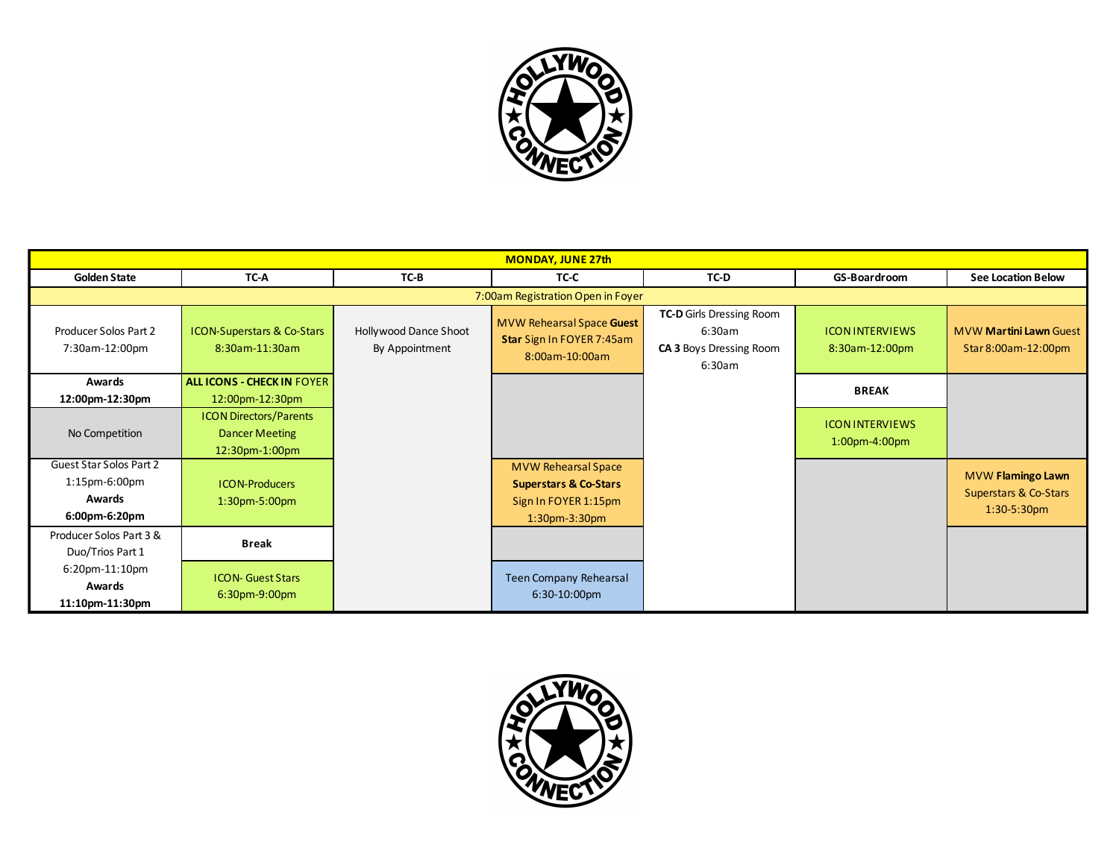

| <b>MONDAY, JUNE 27th</b>                    |                                                                          |                                         |                                                                          |                                                                                       |                                            |                                                      |  |  |  |
|---------------------------------------------|--------------------------------------------------------------------------|-----------------------------------------|--------------------------------------------------------------------------|---------------------------------------------------------------------------------------|--------------------------------------------|------------------------------------------------------|--|--|--|
| <b>Golden State</b>                         | TC-A                                                                     | TC-B                                    | TC-C                                                                     | TC-D                                                                                  | GS-Boardroom                               | <b>See Location Below</b>                            |  |  |  |
|                                             | 7:00am Registration Open in Foyer                                        |                                         |                                                                          |                                                                                       |                                            |                                                      |  |  |  |
| Producer Solos Part 2<br>7:30am-12:00pm     | <b>ICON-Superstars &amp; Co-Stars</b><br>8:30am-11:30am                  | Hollywood Dance Shoot<br>By Appointment | MVW Rehearsal Space Guest<br>Star Sign In FOYER 7:45am<br>8:00am-10:00am | <b>TC-D</b> Girls Dressing Room<br>6:30am<br><b>CA 3 Boys Dressing Room</b><br>6:30am | <b>ICON INTERVIEWS</b><br>8:30am-12:00pm   | <b>MVW Martini Lawn Guest</b><br>Star 8:00am-12:00pm |  |  |  |
| Awards                                      | <b>ALL ICONS - CHECK IN FOYER</b>                                        |                                         |                                                                          |                                                                                       | <b>BREAK</b>                               |                                                      |  |  |  |
| 12:00pm-12:30pm                             | 12:00pm-12:30pm                                                          |                                         |                                                                          |                                                                                       |                                            |                                                      |  |  |  |
| No Competition                              | <b>ICON Directors/Parents</b><br><b>Dancer Meeting</b><br>12:30pm-1:00pm |                                         |                                                                          |                                                                                       | <b>ICON INTERVIEWS</b><br>$1:00$ pm-4:00pm |                                                      |  |  |  |
| Guest Star Solos Part 2                     |                                                                          |                                         | <b>MVW Rehearsal Space</b>                                               |                                                                                       |                                            |                                                      |  |  |  |
| $1:15$ pm-6:00pm                            | <b>ICON-Producers</b>                                                    |                                         | <b>Superstars &amp; Co-Stars</b>                                         |                                                                                       |                                            | MVW Flamingo Lawn<br>Superstars & Co-Stars           |  |  |  |
| <b>Awards</b>                               | 1:30pm-5:00pm                                                            |                                         | Sign In FOYER 1:15pm                                                     |                                                                                       |                                            | $1:30-5:30$ pm                                       |  |  |  |
| 6:00pm-6:20pm                               |                                                                          |                                         | $1:30$ pm- $3:30$ pm                                                     |                                                                                       |                                            |                                                      |  |  |  |
| Producer Solos Part 3 &<br>Duo/Trios Part 1 | <b>Break</b>                                                             |                                         |                                                                          |                                                                                       |                                            |                                                      |  |  |  |
| 6:20pm-11:10pm<br>Awards<br>11:10pm-11:30pm | <b>ICON- Guest Stars</b><br>6:30pm-9:00pm                                |                                         | Teen Company Rehearsal<br>$6:30-10:00$ pm                                |                                                                                       |                                            |                                                      |  |  |  |

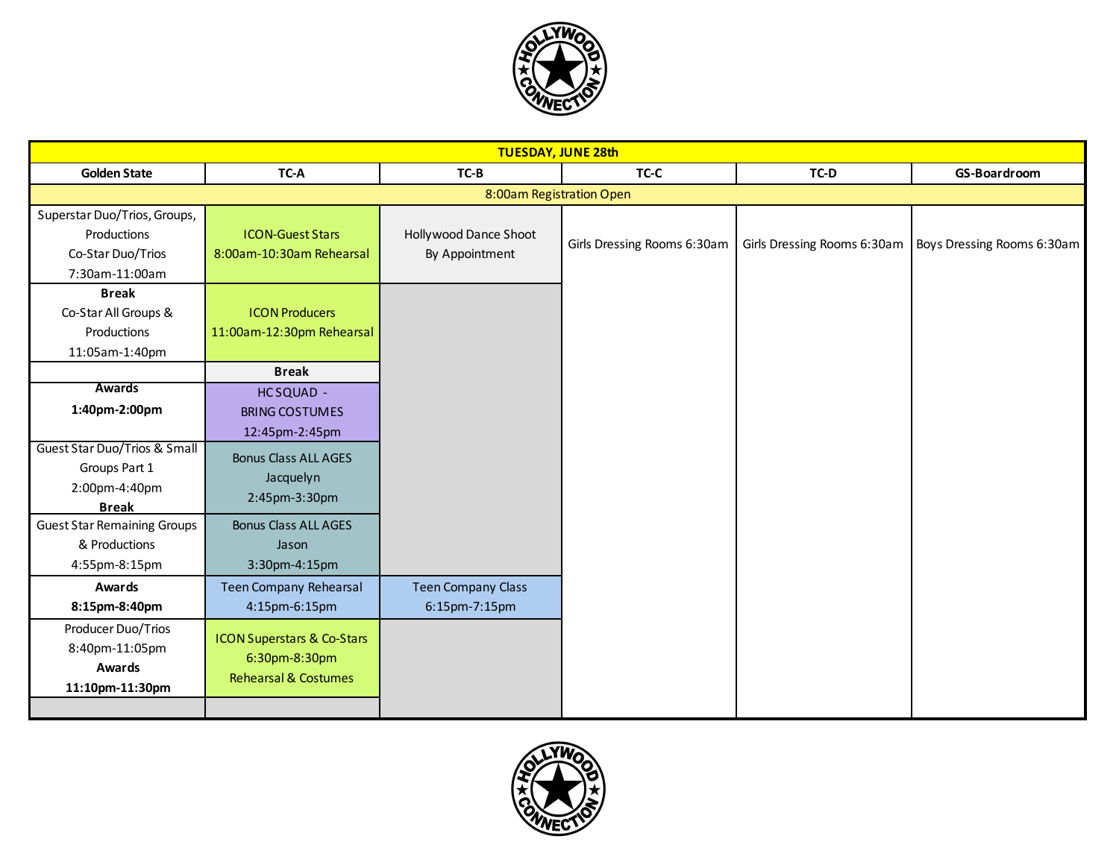

| <b>TUESDAY, JUNE 28th</b>                                                          |                                                                                           |                                            |                             |                             |                            |  |  |
|------------------------------------------------------------------------------------|-------------------------------------------------------------------------------------------|--------------------------------------------|-----------------------------|-----------------------------|----------------------------|--|--|
| <b>Golden State</b>                                                                | TC-A                                                                                      | TC-B                                       | TC-C                        | TC-D                        | GS-Boardroom               |  |  |
| 8:00am Registration Open                                                           |                                                                                           |                                            |                             |                             |                            |  |  |
| Superstar Duo/Trios, Groups,<br>Productions<br>Co-Star Duo/Trios<br>7:30am-11:00am | <b>ICON-Guest Stars</b><br>8:00am-10:30am Rehearsal                                       | Hollywood Dance Shoot<br>By Appointment    | Girls Dressing Rooms 6:30am | Girls Dressing Rooms 6:30am | Boys Dressing Rooms 6:30am |  |  |
| <b>Break</b><br>Co-Star All Groups &<br>Productions<br>11:05am-1:40pm              | <b>ICON Producers</b><br>11:00am-12:30pm Rehearsal                                        |                                            |                             |                             |                            |  |  |
|                                                                                    | <b>Break</b>                                                                              |                                            |                             |                             |                            |  |  |
| <b>Awards</b><br>1:40pm-2:00pm                                                     | HCSQUAD -<br><b>BRING COSTUMES</b><br>12:45pm-2:45pm                                      |                                            |                             |                             |                            |  |  |
| Guest Star Duo/Trios & Small<br>Groups Part 1<br>2:00pm-4:40pm<br><b>Break</b>     | <b>Bonus Class ALL AGES</b><br>Jacquelyn<br>2:45pm-3:30pm                                 |                                            |                             |                             |                            |  |  |
| <b>Guest Star Remaining Groups</b><br>& Productions<br>4:55pm-8:15pm               | <b>Bonus Class ALL AGES</b><br>Jason<br>3:30pm-4:15pm                                     |                                            |                             |                             |                            |  |  |
| Awards<br>8:15pm-8:40pm                                                            | <b>Teen Company Rehearsal</b><br>4:15pm-6:15pm                                            | <b>Teen Company Class</b><br>6:15pm-7:15pm |                             |                             |                            |  |  |
| Producer Duo/Trios<br>8:40pm-11:05pm<br><b>Awards</b><br>11:10pm-11:30pm           | <b>ICON Superstars &amp; Co-Stars</b><br>6:30pm-8:30pm<br><b>Rehearsal &amp; Costumes</b> |                                            |                             |                             |                            |  |  |

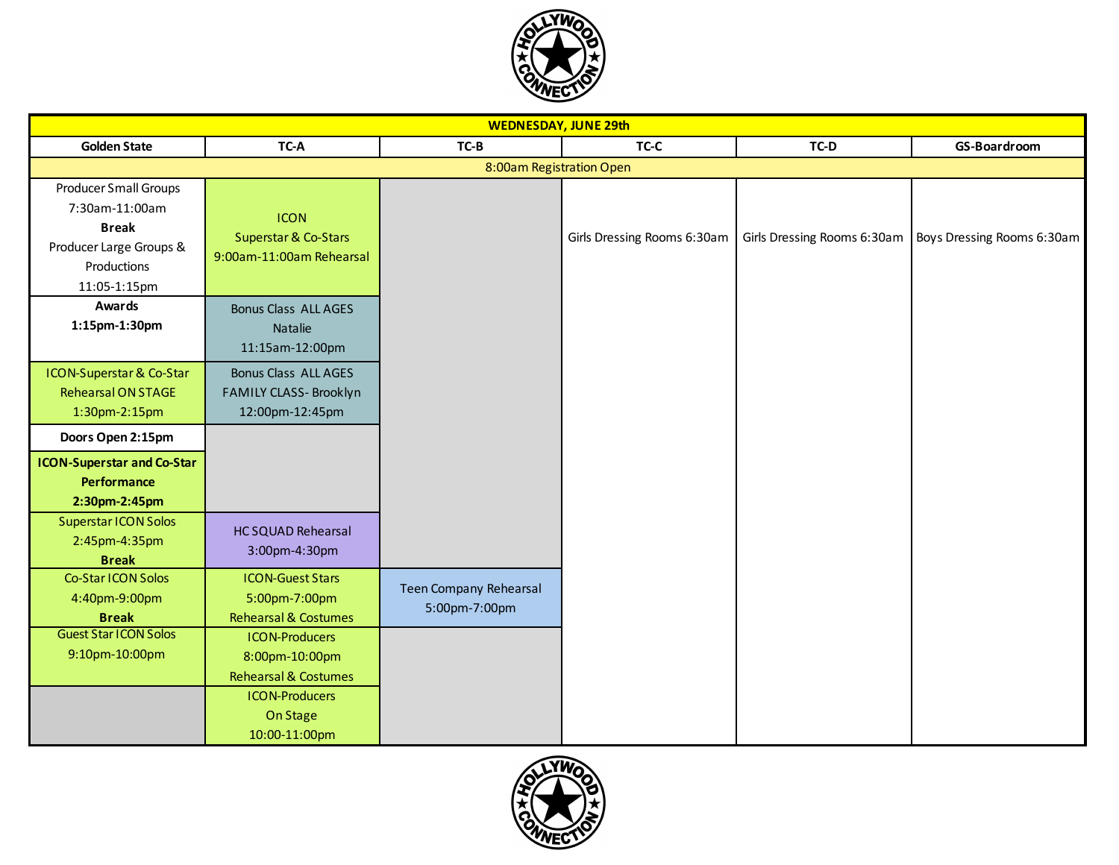

| <b>WEDNESDAY, JUNE 29th</b>                                                                                       |                                                                                                                                  |                                                |                             |                             |                            |  |  |  |
|-------------------------------------------------------------------------------------------------------------------|----------------------------------------------------------------------------------------------------------------------------------|------------------------------------------------|-----------------------------|-----------------------------|----------------------------|--|--|--|
| <b>Golden State</b>                                                                                               | TC-A                                                                                                                             | $TC-B$                                         | TC-C                        | TC-D                        | GS-Boardroom               |  |  |  |
|                                                                                                                   | 8:00am Registration Open                                                                                                         |                                                |                             |                             |                            |  |  |  |
| Producer Small Groups<br>7:30am-11:00am<br><b>Break</b><br>Producer Large Groups &<br>Productions<br>11:05-1:15pm | <b>ICON</b><br>Superstar & Co-Stars<br>9:00am-11:00am Rehearsal                                                                  |                                                | Girls Dressing Rooms 6:30am | Girls Dressing Rooms 6:30am | Boys Dressing Rooms 6:30am |  |  |  |
| <b>Awards</b><br>1:15pm-1:30pm                                                                                    | <b>Bonus Class ALL AGES</b><br>Natalie<br>11:15am-12:00pm                                                                        |                                                |                             |                             |                            |  |  |  |
| ICON-Superstar & Co-Star<br><b>Rehearsal ON STAGE</b><br>1:30pm-2:15pm                                            | <b>Bonus Class ALL AGES</b><br>FAMILY CLASS- Brooklyn<br>12:00pm-12:45pm                                                         |                                                |                             |                             |                            |  |  |  |
| Doors Open 2:15pm                                                                                                 |                                                                                                                                  |                                                |                             |                             |                            |  |  |  |
| <b>ICON-Superstar and Co-Star</b><br><b>Performance</b><br>2:30pm-2:45pm                                          |                                                                                                                                  |                                                |                             |                             |                            |  |  |  |
| Superstar ICON Solos<br>2:45pm-4:35pm<br><b>Break</b>                                                             | <b>HC SQUAD Rehearsal</b><br>3:00pm-4:30pm                                                                                       |                                                |                             |                             |                            |  |  |  |
| Co-Star ICON Solos<br>4:40pm-9:00pm<br><b>Break</b>                                                               | <b>ICON-Guest Stars</b><br>5:00pm-7:00pm<br><b>Rehearsal &amp; Costumes</b>                                                      | <b>Teen Company Rehearsal</b><br>5:00pm-7:00pm |                             |                             |                            |  |  |  |
| <b>Guest Star ICON Solos</b><br>9:10pm-10:00pm                                                                    | <b>ICON-Producers</b><br>8:00pm-10:00pm<br><b>Rehearsal &amp; Costumes</b><br><b>ICON-Producers</b><br>On Stage<br>10:00-11:00pm |                                                |                             |                             |                            |  |  |  |

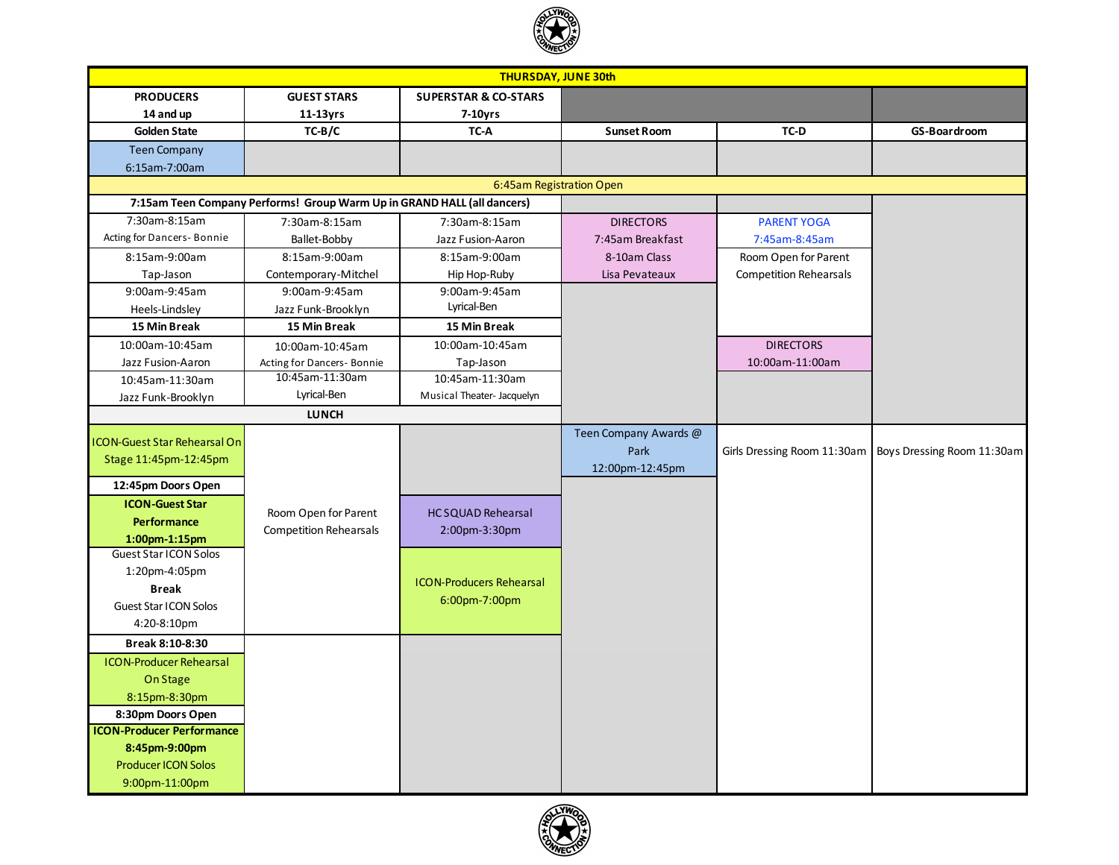

| <b>THURSDAY, JUNE 30th</b>          |                                                                         |                                 |                       |                               |                            |  |
|-------------------------------------|-------------------------------------------------------------------------|---------------------------------|-----------------------|-------------------------------|----------------------------|--|
| <b>PRODUCERS</b>                    | <b>GUEST STARS</b>                                                      | <b>SUPERSTAR &amp; CO-STARS</b> |                       |                               |                            |  |
| 14 and up                           | $11-13yrs$                                                              | $7-10$ yrs                      |                       |                               |                            |  |
| <b>Golden State</b>                 | $TC-B/C$                                                                | TC-A                            | <b>Sunset Room</b>    | TC-D                          | GS-Boardroom               |  |
| <b>Teen Company</b>                 |                                                                         |                                 |                       |                               |                            |  |
| 6:15am-7:00am                       |                                                                         |                                 |                       |                               |                            |  |
|                                     |                                                                         | 6:45am Registration Open        |                       |                               |                            |  |
|                                     | 7:15am Teen Company Performs! Group Warm Up in GRAND HALL (all dancers) |                                 |                       |                               |                            |  |
| 7:30am-8:15am                       | 7:30am-8:15am                                                           | 7:30am-8:15am                   | <b>DIRECTORS</b>      | <b>PARENT YOGA</b>            |                            |  |
| Acting for Dancers-Bonnie           | Ballet-Bobby                                                            | Jazz Fusion-Aaron               | 7:45am Breakfast      | 7:45am-8:45am                 |                            |  |
| 8:15am-9:00am                       | 8:15am-9:00am                                                           | 8:15am-9:00am                   | 8-10am Class          | Room Open for Parent          |                            |  |
| Tap-Jason                           | Contemporary-Mitchel                                                    | Hip Hop-Ruby                    | Lisa Pevateaux        | <b>Competition Rehearsals</b> |                            |  |
| 9:00am-9:45am                       | 9:00am-9:45am                                                           | 9:00am-9:45am                   |                       |                               |                            |  |
| Heels-Lindsley                      | Jazz Funk-Brooklyn                                                      | Lyrical-Ben                     |                       |                               |                            |  |
| 15 Min Break                        | <b>15 Min Break</b>                                                     | 15 Min Break                    |                       |                               |                            |  |
| 10:00am-10:45am                     | 10:00am-10:45am                                                         | 10:00am-10:45am                 |                       | <b>DIRECTORS</b>              |                            |  |
| Jazz Fusion-Aaron                   | Acting for Dancers-Bonnie                                               | Tap-Jason                       |                       | 10:00am-11:00am               |                            |  |
| 10:45am-11:30am                     | 10:45am-11:30am                                                         | 10:45am-11:30am                 |                       |                               |                            |  |
| Jazz Funk-Brooklyn                  | Lyrical-Ben                                                             | Musical Theater- Jacquelyn      |                       |                               |                            |  |
|                                     | <b>LUNCH</b>                                                            |                                 |                       |                               |                            |  |
| <b>ICON-Guest Star Rehearsal On</b> |                                                                         |                                 | Teen Company Awards @ |                               |                            |  |
| Stage 11:45pm-12:45pm               |                                                                         |                                 | Park                  | Girls Dressing Room 11:30am   | Boys Dressing Room 11:30am |  |
|                                     |                                                                         |                                 | 12:00pm-12:45pm       |                               |                            |  |
| 12:45pm Doors Open                  |                                                                         |                                 |                       |                               |                            |  |
| <b>ICON-Guest Star</b>              | Room Open for Parent                                                    | <b>HC SQUAD Rehearsal</b>       |                       |                               |                            |  |
| <b>Performance</b>                  | <b>Competition Rehearsals</b>                                           | 2:00pm-3:30pm                   |                       |                               |                            |  |
| $1:00$ pm- $1:15$ pm                |                                                                         |                                 |                       |                               |                            |  |
| Guest Star ICON Solos               |                                                                         |                                 |                       |                               |                            |  |
| 1:20pm-4:05pm                       |                                                                         | <b>ICON-Producers Rehearsal</b> |                       |                               |                            |  |
| <b>Break</b>                        |                                                                         | 6:00pm-7:00pm                   |                       |                               |                            |  |
| <b>Guest Star ICON Solos</b>        |                                                                         |                                 |                       |                               |                            |  |
| 4:20-8:10pm                         |                                                                         |                                 |                       |                               |                            |  |
| Break 8:10-8:30                     |                                                                         |                                 |                       |                               |                            |  |
| <b>ICON-Producer Rehearsal</b>      |                                                                         |                                 |                       |                               |                            |  |
| On Stage                            |                                                                         |                                 |                       |                               |                            |  |
| 8:15pm-8:30pm                       |                                                                         |                                 |                       |                               |                            |  |
| 8:30pm Doors Open                   |                                                                         |                                 |                       |                               |                            |  |
| <b>ICON-Producer Performance</b>    |                                                                         |                                 |                       |                               |                            |  |
| 8:45pm-9:00pm                       |                                                                         |                                 |                       |                               |                            |  |
| <b>Producer ICON Solos</b>          |                                                                         |                                 |                       |                               |                            |  |
| 9:00pm-11:00pm                      |                                                                         |                                 |                       |                               |                            |  |

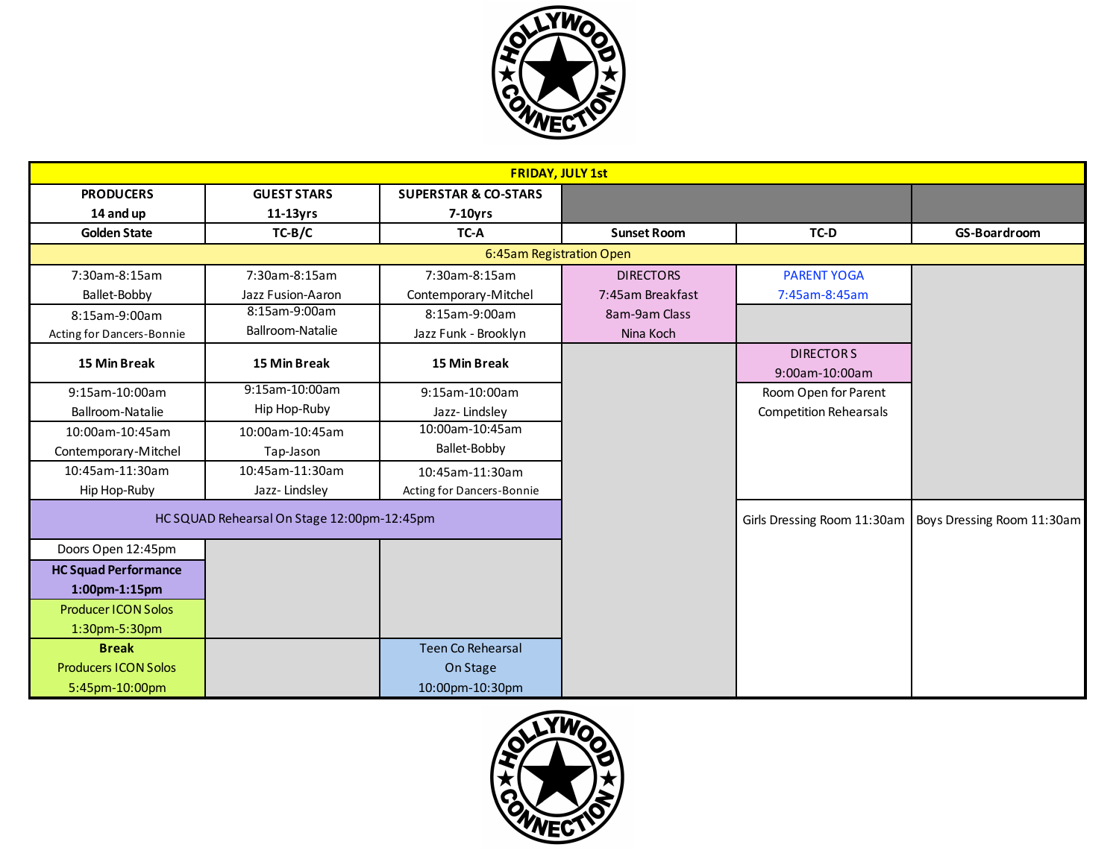

| <b>FRIDAY, JULY 1st</b>     |                                             |                                 |                    |                               |                            |  |  |
|-----------------------------|---------------------------------------------|---------------------------------|--------------------|-------------------------------|----------------------------|--|--|
| <b>PRODUCERS</b>            | <b>GUEST STARS</b>                          | <b>SUPERSTAR &amp; CO-STARS</b> |                    |                               |                            |  |  |
| 14 and up                   | $11-13yrs$                                  | $7-10$ yrs                      |                    |                               |                            |  |  |
| <b>Golden State</b>         | $TC-B/C$                                    | TC-A                            | <b>Sunset Room</b> | TC-D                          | <b>GS-Boardroom</b>        |  |  |
|                             |                                             | 6:45am Registration Open        |                    |                               |                            |  |  |
| 7:30am-8:15am               | 7:30am-8:15am                               | 7:30am-8:15am                   | <b>DIRECTORS</b>   | <b>PARENT YOGA</b>            |                            |  |  |
| Ballet-Bobby                | Jazz Fusion-Aaron                           | Contemporary-Mitchel            | 7:45am Breakfast   | 7:45am-8:45am                 |                            |  |  |
| 8:15am-9:00am               | 8:15am-9:00am                               | 8:15am-9:00am                   | 8am-9am Class      |                               |                            |  |  |
| Acting for Dancers-Bonnie   | Ballroom-Natalie                            | Jazz Funk - Brooklyn            | Nina Koch          |                               |                            |  |  |
| 15 Min Break                | 15 Min Break                                | 15 Min Break                    |                    | <b>DIRECTORS</b>              |                            |  |  |
|                             |                                             |                                 |                    | 9:00am-10:00am                |                            |  |  |
| 9:15am-10:00am              | 9:15am-10:00am                              | 9:15am-10:00am                  |                    | Room Open for Parent          |                            |  |  |
| Ballroom-Natalie            | Hip Hop-Ruby                                | Jazz-Lindsley                   |                    | <b>Competition Rehearsals</b> |                            |  |  |
| 10:00am-10:45am             | 10:00am-10:45am                             | 10:00am-10:45am                 |                    |                               |                            |  |  |
| Contemporary-Mitchel        | Tap-Jason                                   | Ballet-Bobby                    |                    |                               |                            |  |  |
| 10:45am-11:30am             | 10:45am-11:30am                             | 10:45am-11:30am                 |                    |                               |                            |  |  |
| Hip Hop-Ruby                | Jazz-Lindsley                               | Acting for Dancers-Bonnie       |                    |                               |                            |  |  |
|                             | HC SQUAD Rehearsal On Stage 12:00pm-12:45pm |                                 |                    | Girls Dressing Room 11:30am   | Boys Dressing Room 11:30am |  |  |
| Doors Open 12:45pm          |                                             |                                 |                    |                               |                            |  |  |
| <b>HC Squad Performance</b> |                                             |                                 |                    |                               |                            |  |  |
| $1:00$ pm- $1:15$ pm        |                                             |                                 |                    |                               |                            |  |  |
| Producer ICON Solos         |                                             |                                 |                    |                               |                            |  |  |
| 1:30pm-5:30pm               |                                             |                                 |                    |                               |                            |  |  |
| <b>Break</b>                |                                             | <b>Teen Co Rehearsal</b>        |                    |                               |                            |  |  |
| <b>Producers ICON Solos</b> |                                             | On Stage                        |                    |                               |                            |  |  |
| 5:45pm-10:00pm              |                                             | 10:00pm-10:30pm                 |                    |                               |                            |  |  |